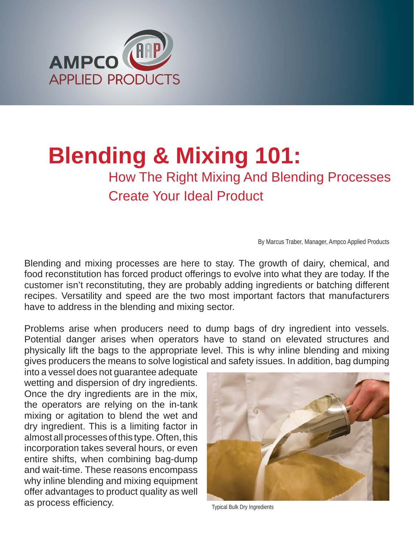

# **Blending & Mixing 101:**

## How The Right Mixing And Blending Processes Create Your Ideal Product

By Marcus Traber, Manager, Ampco Applied Products

Blending and mixing processes are here to stay. The growth of dairy, chemical, and food reconstitution has forced product offerings to evolve into what they are today. If the customer isn't reconstituting, they are probably adding ingredients or batching different recipes. Versatility and speed are the two most important factors that manufacturers have to address in the blending and mixing sector.

Problems arise when producers need to dump bags of dry ingredient into vessels. Potential danger arises when operators have to stand on elevated structures and physically lift the bags to the appropriate level. This is why inline blending and mixing gives producers the means to solve logistical and safety issues. In addition, bag dumping

into a vessel does not guarantee adequate wetting and dispersion of dry ingredients. Once the dry ingredients are in the mix, the operators are relying on the in-tank mixing or agitation to blend the wet and dry ingredient. This is a limiting factor in almost all processes of this type. Often, this incorporation takes several hours, or even entire shifts, when combining bag-dump and wait-time. These reasons encompass why inline blending and mixing equipment offer advantages to product quality as well as process efficiency.



Typical Bulk Dry Ingredients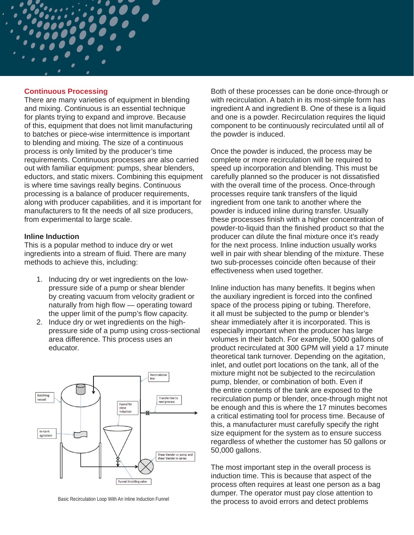#### **Continuous Processing**

There are many varieties of equipment in blending and mixing. Continuous is an essential technique for plants trying to expand and improve. Because of this, equipment that does not limit manufacturing to batches or piece-wise intermittence is important to blending and mixing. The size of a continuous process is only limited by the producer's time requirements. Continuous processes are also carried out with familiar equipment: pumps, shear blenders, eductors, and static mixers. Combining this equipment is where time savings really begins. Continuous processing is a balance of producer requirements, along with producer capabilities, and it is important for manufacturers to fit the needs of all size producers, from experimental to large scale.

#### **Inline Induction**

This is a popular method to induce dry or wet ingredients into a stream of fluid. There are many methods to achieve this, including:

- 1. Inducing dry or wet ingredients on the lowpressure side of a pump or shear blender by creating vacuum from velocity gradient or naturally from high flow  $\sim$  operating toward the upper limit of the pump's flow capacity.
- 2. Induce dry or wet ingredients on the highpressure side of a pump using cross-sectional area difference. This process uses an educator.



Both of these processes can be done once-through or with recirculation. A batch in its most-simple form has ingredient A and ingredient B. One of these is a liquid and one is a powder. Recirculation requires the liquid component to be continuously recirculated until all of the powder is induced.

Once the powder is induced, the process may be complete or more recirculation will be required to speed up incorporation and blending. This must be carefully planned so the producer is not dissatisfied with the overall time of the process. Once-through processes require tank transfers of the liquid ingredient from one tank to another where the powder is induced inline during transfer. Usually these processes finish with a higher concentration of powder-to-liquid than the finished product so that the producer can dilute the final mixture once it's ready for the next process. Inline induction usually works well in pair with shear blending of the mixture. These two sub-processes coincide often because of their effectiveness when used together.

Inline induction has many benefits. It begins when the auxiliary ingredient is forced into the confined space of the process piping or tubing. Therefore, it all must be subjected to the pump or blender's shear immediately after it is incorporated. This is especially important when the producer has large volumes in their batch. For example, 5000 gallons of product recirculated at 300 GPM will yield a 17 minute theoretical tank turnover. Depending on the agitation, inlet, and outlet port locations on the tank, all of the mixture might not be subjected to the recirculation pump, blender, or combination of both. Even if the entire contents of the tank are exposed to the recirculation pump or blender, once-through might not be enough and this is where the 17 minutes becomes a critical estimating tool for process time. Because of this, a manufacturer must carefully specify the right size equipment for the system as to ensure success regardless of whether the customer has 50 gallons or 50,000 gallons.

The most important step in the overall process is induction time. This is because that aspect of the process often requires at least one person as a bag dumper. The operator must pay close attention to Basic Recirculation Loop With An Inline Induction Funnel<br>
the process to avoid errors and detect problems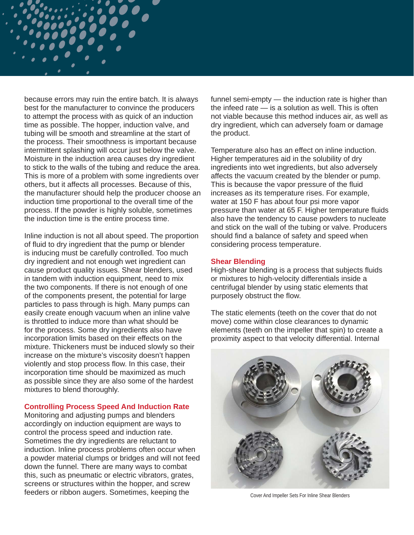because errors may ruin the entire batch. It is always best for the manufacturer to convince the producers to attempt the process with as quick of an induction time as possible. The hopper, induction valve, and tubing will be smooth and streamline at the start of the process. Their smoothness is important because intermittent splashing will occur just below the valve. Moisture in the induction area causes dry ingredient to stick to the walls of the tubing and reduce the area. This is more of a problem with some ingredients over others, but it affects all processes. Because of this, the manufacturer should help the producer choose an induction time proportional to the overall time of the process. If the powder is highly soluble, sometimes the induction time is the entire process time.

Inline induction is not all about speed. The proportion of fluid to dry ingredient that the pump or blender is inducing must be carefully controlled. Too much dry ingredient and not enough wet ingredient can cause product quality issues. Shear blenders, used in tandem with induction equipment, need to mix the two components. If there is not enough of one of the components present, the potential for large particles to pass through is high. Many pumps can easily create enough vacuum when an inline valve is throttled to induce more than what should be for the process. Some dry ingredients also have incorporation limits based on their effects on the mixture. Thickeners must be induced slowly so their increase on the mixture's viscosity doesn't happen violently and stop process flow. In this case, their incorporation time should be maximized as much as possible since they are also some of the hardest mixtures to blend thoroughly.

#### **Controlling Process Speed And Induction Rate**

Monitoring and adjusting pumps and blenders accordingly on induction equipment are ways to control the process speed and induction rate. Sometimes the dry ingredients are reluctant to induction. Inline process problems often occur when a powder material clumps or bridges and will not feed down the funnel. There are many ways to combat this, such as pneumatic or electric vibrators, grates, screens or structures within the hopper, and screw feeders or ribbon augers. Sometimes, keeping the

funnel semi-empty — the induction rate is higher than the infeed rate — is a solution as well. This is often not viable because this method induces air, as well as dry ingredient, which can adversely foam or damage the product.

Temperature also has an effect on inline induction. Higher temperatures aid in the solubility of dry ingredients into wet ingredients, but also adversely affects the vacuum created by the blender or pump. This is because the vapor pressure of the fluid increases as its temperature rises. For example, water at 150 F has about four psi more vapor pressure than water at 65 F. Higher temperature fluids also have the tendency to cause powders to nucleate and stick on the wall of the tubing or valve. Producers should find a balance of safety and speed when considering process temperature.

#### **Shear Blending**

High-shear blending is a process that subjects fluids or mixtures to high-velocity differentials inside a centrifugal blender by using static elements that purposely obstruct the flow.

The static elements (teeth on the cover that do not move) come within close clearances to dynamic elements (teeth on the impeller that spin) to create a proximity aspect to that velocity differential. Internal



Cover And Impeller Sets For Inline Shear Blenders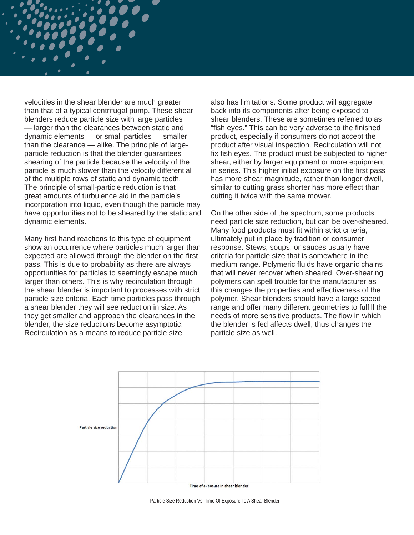velocities in the shear blender are much greater than that of a typical centrifugal pump. These shear blenders reduce particle size with large particles — larger than the clearances between static and dynamic elements — or small particles — smaller than the clearance — alike. The principle of largeparticle reduction is that the blender guarantees shearing of the particle because the velocity of the particle is much slower than the velocity differential of the multiple rows of static and dynamic teeth. The principle of small-particle reduction is that great amounts of turbulence aid in the particle's incorporation into liquid, even though the particle may have opportunities not to be sheared by the static and dynamic elements.

Many first hand reactions to this type of equipment show an occurrence where particles much larger than expected are allowed through the blender on the first pass. This is due to probability as there are always opportunities for particles to seemingly escape much larger than others. This is why recirculation through the shear blender is important to processes with strict particle size criteria. Each time particles pass through a shear blender they will see reduction in size. As they get smaller and approach the clearances in the blender, the size reductions become asymptotic. Recirculation as a means to reduce particle size

also has limitations. Some product will aggregate back into its components after being exposed to shear blenders. These are sometimes referred to as "fish eyes." This can be very adverse to the finished product, especially if consumers do not accept the product after visual inspection. Recirculation will not fix fish eyes. The product must be subjected to higher shear, either by larger equipment or more equipment in series. This higher initial exposure on the first pass has more shear magnitude, rather than longer dwell, similar to cutting grass shorter has more effect than cutting it twice with the same mower.

On the other side of the spectrum, some products need particle size reduction, but can be over-sheared. Many food products must fit within strict criteria, ultimately put in place by tradition or consumer response. Stews, soups, or sauces usually have criteria for particle size that is somewhere in the medium range. Polymeric fluids have organic chains that will never recover when sheared. Over-shearing polymers can spell trouble for the manufacturer as this changes the properties and effectiveness of the polymer. Shear blenders should have a large speed range and offer many different geometries to fulfill the needs of more sensitive products. The flow in which the blender is fed affects dwell, thus changes the particle size as well.



Particle Size Reduction Vs. Time Of Exposure To A Shear Blender